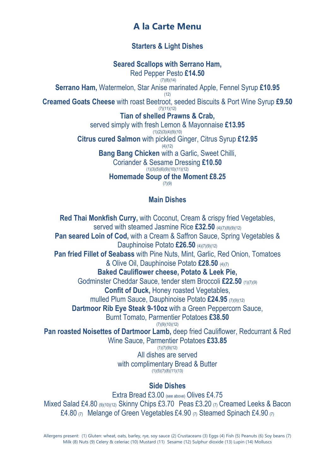# **A la Carte Menu**

### **Starters & Light Dishes**

**Seared Scallops with Serrano Ham,** 

Red Pepper Pesto **£14.50**

(7)(8)(14) **Serrano Ham,** Watermelon, Star Anise marinated Apple, Fennel Syrup **£10.95**

 $(12)$ 

**Creamed Goats Cheese** with roast Beetroot, seeded Biscuits & Port Wine Syrup **£9.50**

 $(7)(11)(12)$ **Tian of shelled Prawns & Crab,**

served simply with fresh Lemon & Mayonnaise **£13.95**  $(1)(2)(3)(4)(9)(10)$ 

**Citrus cured Salmon** with pickled Ginger, Citrus Syrup **£12.95**  $(4)(12)$ 

**Bang Bang Chicken** with a Garlic, Sweet Chilli,

Coriander & Sesame Dressing **£10.50**  $(1)(3)(5)(6)(9)(10)(11)(12)$ 

**Homemade Soup of the Moment £8.25**

 $(7)(9)$ 

### **Main Dishes**

**Red Thai Monkfish Curry,** with Coconut, Cream & crispy fried Vegetables, served with steamed Jasmine Rice **£32.50** (4)(7)(8)(9)(12) **Pan seared Loin of Cod,** with a Cream & Saffron Sauce, Spring Vegetables & Dauphinoise Potato **£26.50** (4)(7)(9)(12) **Pan fried Fillet of Seabass** with Pine Nuts, Mint, Garlic, Red Onion, Tomatoes & Olive Oil, Dauphinoise Potato **£28.50** (4)(7) **Baked Cauliflower cheese, Potato & Leek Pie,** Godminster Cheddar Sauce, tender stem Broccoli **£22.50** (1)(7)(9) **Confit of Duck,** Honey roasted Vegetables, mulled Plum Sauce, Dauphinoise Potato **£24.95** (7)(9)(12) **Dartmoor Rib Eye Steak 9-10oz** with a Green Peppercorn Sauce, Burnt Tomato, Parmentier Potatoes **£38.50** (7)(9)(10)(12) **Pan roasted Noisettes of Dartmoor Lamb,** deep fried Cauliflower, Redcurrant & Red Wine Sauce, Parmentier Potatoes **£33.85** (1)(7)(9)(12) All dishes are served with complimentary Bread & Butter  $(1)(5)(7)(8)(11)(13)$ **Side Dishes**

Extra Bread £3.00 (see above) Olives £4.75 Mixed Salad £4.80 (9)(10)(12) Skinny Chips £3.70 Peas £3.20 (7) Creamed Leeks & Bacon £4.80  $(7)$  Melange of Green Vegetables £4.90  $(7)$  Steamed Spinach £4.90  $(7)$ 

Allergens present: (1) Gluten: wheat, oats, barley, rye, soy sauce (2) Crustaceans (3) Eggs (4) Fish (5) Peanuts (6) Soy beans (7) Milk (8) Nuts (9) Celery & celeriac (10) Mustard (11) Sesame (12) Sulphur dioxide (13) Lupin (14) Molluscs